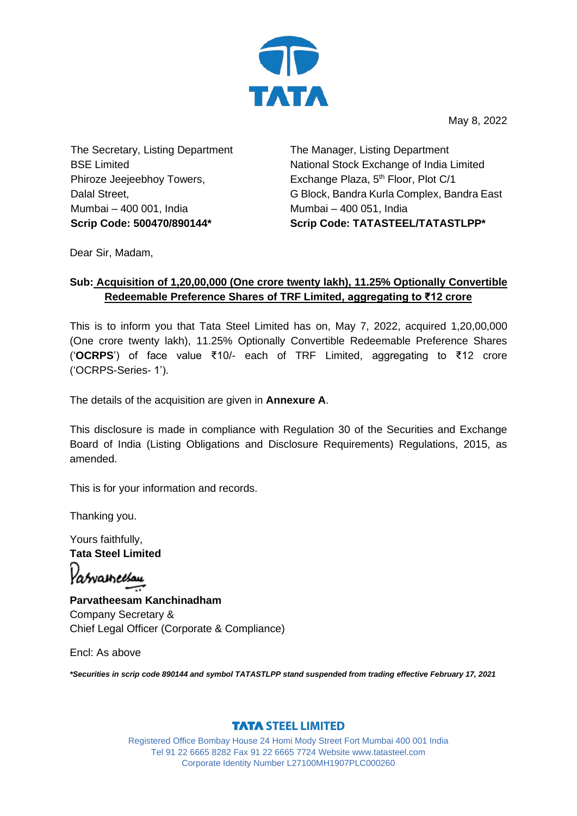

May 8, 2022

The Secretary, Listing Department BSE Limited Phiroze Jeejeebhoy Towers, Dalal Street, Mumbai – 400 001, India

The Manager, Listing Department National Stock Exchange of India Limited Exchange Plaza, 5<sup>th</sup> Floor, Plot C/1 G Block, Bandra Kurla Complex, Bandra East Mumbai – 400 051, India **Scrip Code: 500470/890144\* Scrip Code: TATASTEEL/TATASTLPP\***

Dear Sir, Madam,

## **Sub: Acquisition of 1,20,00,000 (One crore twenty lakh), 11.25% Optionally Convertible Redeemable Preference Shares of TRF Limited, aggregating to ₹12 crore**

This is to inform you that Tata Steel Limited has on, May 7, 2022, acquired 1,20,00,000 (One crore twenty lakh), 11.25% Optionally Convertible Redeemable Preference Shares ('**OCRPS**') of face value ₹10/- each of TRF Limited, aggregating to ₹12 crore ('OCRPS-Series- 1').

The details of the acquisition are given in **Annexure A**.

This disclosure is made in compliance with Regulation 30 of the Securities and Exchange Board of India (Listing Obligations and Disclosure Requirements) Regulations, 2015, as amended.

This is for your information and records.

Thanking you.

Yours faithfully, **Tata Steel Limited** Yasvameesau

**Parvatheesam Kanchinadham** Company Secretary & Chief Legal Officer (Corporate & Compliance)

Encl: As above

*\*Securities in scrip code 890144 and symbol TATASTLPP stand suspended from trading effective February 17, 2021*

## **TATA STEEL LIMITED**

Registered Office Bombay House 24 Homi Mody Street Fort Mumbai 400 001 India Tel 91 22 6665 8282 Fax 91 22 6665 7724 Website www.tatasteel.com Corporate Identity Number L27100MH1907PLC000260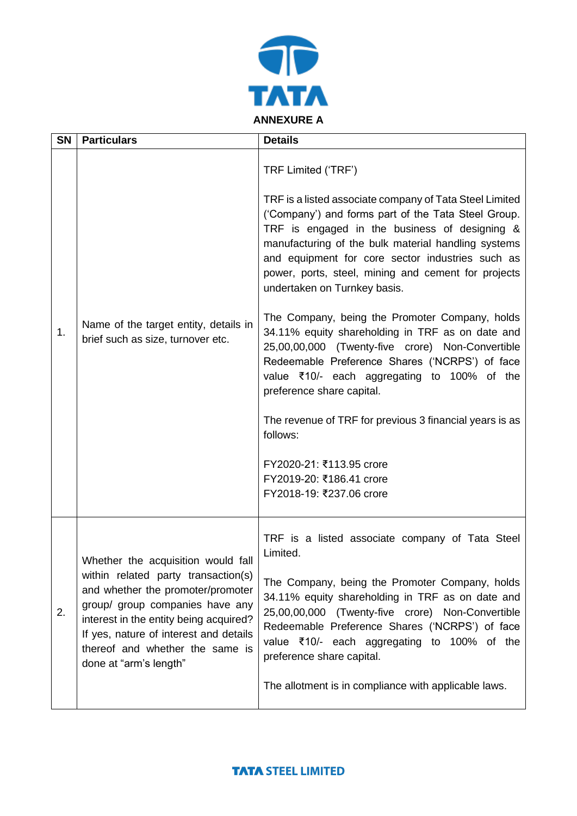

| <b>SN</b> | <b>Particulars</b>                                                                                                                                                                                                                                                                                 | <b>Details</b>                                                                                                                                                                                                                                                                                                                                                                                                                                                                                                                                                                                                                                                                                                                                                                                                                              |
|-----------|----------------------------------------------------------------------------------------------------------------------------------------------------------------------------------------------------------------------------------------------------------------------------------------------------|---------------------------------------------------------------------------------------------------------------------------------------------------------------------------------------------------------------------------------------------------------------------------------------------------------------------------------------------------------------------------------------------------------------------------------------------------------------------------------------------------------------------------------------------------------------------------------------------------------------------------------------------------------------------------------------------------------------------------------------------------------------------------------------------------------------------------------------------|
| 1.        | Name of the target entity, details in<br>brief such as size, turnover etc.                                                                                                                                                                                                                         | TRF Limited ('TRF')<br>TRF is a listed associate company of Tata Steel Limited<br>('Company') and forms part of the Tata Steel Group.<br>TRF is engaged in the business of designing &<br>manufacturing of the bulk material handling systems<br>and equipment for core sector industries such as<br>power, ports, steel, mining and cement for projects<br>undertaken on Turnkey basis.<br>The Company, being the Promoter Company, holds<br>34.11% equity shareholding in TRF as on date and<br>25,00,00,000 (Twenty-five crore) Non-Convertible<br>Redeemable Preference Shares ('NCRPS') of face<br>value ₹10/- each aggregating to 100% of the<br>preference share capital.<br>The revenue of TRF for previous 3 financial years is as<br>follows:<br>FY2020-21: ₹113.95 crore<br>FY2019-20: ₹186.41 crore<br>FY2018-19: ₹237.06 crore |
| 2.        | Whether the acquisition would fall<br>within related party transaction(s)<br>and whether the promoter/promoter<br>group/ group companies have any<br>interest in the entity being acquired?<br>If yes, nature of interest and details<br>thereof and whether the same is<br>done at "arm's length" | TRF is a listed associate company of Tata Steel<br>Limited.<br>The Company, being the Promoter Company, holds<br>34.11% equity shareholding in TRF as on date and<br>25,00,00,000 (Twenty-five crore) Non-Convertible<br>Redeemable Preference Shares ('NCRPS') of face<br>value ₹10/- each aggregating to 100% of the<br>preference share capital.<br>The allotment is in compliance with applicable laws.                                                                                                                                                                                                                                                                                                                                                                                                                                 |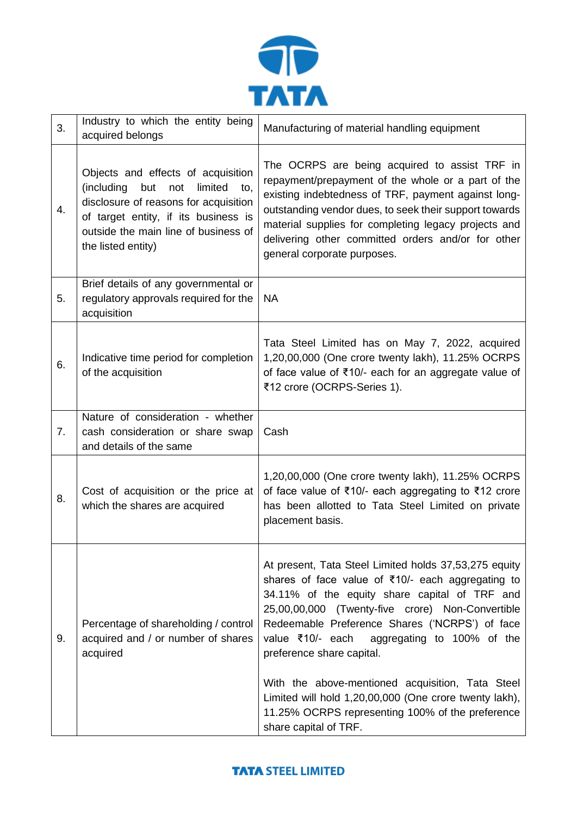

| 3. | Industry to which the entity being<br>acquired belongs                                                                                                                                                                          | Manufacturing of material handling equipment                                                                                                                                                                                                                                                                                                                                                                                                                                                                                             |
|----|---------------------------------------------------------------------------------------------------------------------------------------------------------------------------------------------------------------------------------|------------------------------------------------------------------------------------------------------------------------------------------------------------------------------------------------------------------------------------------------------------------------------------------------------------------------------------------------------------------------------------------------------------------------------------------------------------------------------------------------------------------------------------------|
| 4. | Objects and effects of acquisition<br>(including<br>but<br>limited<br>not<br>to,<br>disclosure of reasons for acquisition<br>of target entity, if its business is<br>outside the main line of business of<br>the listed entity) | The OCRPS are being acquired to assist TRF in<br>repayment/prepayment of the whole or a part of the<br>existing indebtedness of TRF, payment against long-<br>outstanding vendor dues, to seek their support towards<br>material supplies for completing legacy projects and<br>delivering other committed orders and/or for other<br>general corporate purposes.                                                                                                                                                                        |
| 5. | Brief details of any governmental or<br>regulatory approvals required for the<br>acquisition                                                                                                                                    | <b>NA</b>                                                                                                                                                                                                                                                                                                                                                                                                                                                                                                                                |
| 6. | Indicative time period for completion<br>of the acquisition                                                                                                                                                                     | Tata Steel Limited has on May 7, 2022, acquired<br>1,20,00,000 (One crore twenty lakh), 11.25% OCRPS<br>of face value of ₹10/- each for an aggregate value of<br>₹12 crore (OCRPS-Series 1).                                                                                                                                                                                                                                                                                                                                             |
| 7. | Nature of consideration - whether<br>cash consideration or share swap<br>and details of the same                                                                                                                                | Cash                                                                                                                                                                                                                                                                                                                                                                                                                                                                                                                                     |
| 8. | Cost of acquisition or the price at<br>which the shares are acquired                                                                                                                                                            | 1,20,00,000 (One crore twenty lakh), 11.25% OCRPS<br>of face value of ₹10/- each aggregating to ₹12 crore<br>has been allotted to Tata Steel Limited on private<br>placement basis.                                                                                                                                                                                                                                                                                                                                                      |
| 9. | Percentage of shareholding / control<br>acquired and / or number of shares<br>acquired                                                                                                                                          | At present, Tata Steel Limited holds 37,53,275 equity<br>shares of face value of ₹10/- each aggregating to<br>34.11% of the equity share capital of TRF and<br>25,00,00,000 (Twenty-five crore) Non-Convertible<br>Redeemable Preference Shares ('NCRPS') of face<br>value ₹10/- each aggregating to 100% of the<br>preference share capital.<br>With the above-mentioned acquisition, Tata Steel<br>Limited will hold 1,20,00,000 (One crore twenty lakh),<br>11.25% OCRPS representing 100% of the preference<br>share capital of TRF. |